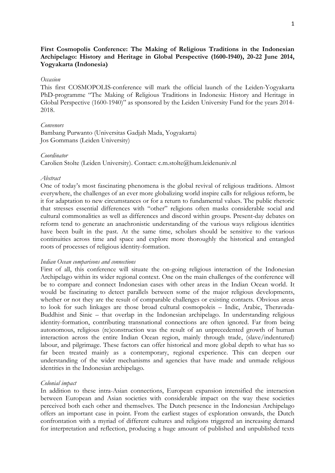# **First Cosmopolis Conference: The Making of Religious Traditions in the Indonesian Archipelago: History and Heritage in Global Perspective (1600-1940), 20-22 June 2014, Yogyakarta (Indonesia)**

## *Occasion*

This first COSMOPOLIS-conference will mark the official launch of the Leiden-Yogyakarta PhD-programme "The Making of Religious Traditions in Indonesia: History and Heritage in Global Perspective (1600-1940)" as sponsored by the Leiden University Fund for the years 2014- 2018.

### *Convenors*

Bambang Purwanto (Universitas Gadjah Mada, Yogyakarta) Jos Gommans (Leiden University)

### *Coordinator*

Carolien Stolte (Leiden University). Contact: c.m.stolte@hum.leidenuniv.nl

## *Abstract*

One of today's most fascinating phenomena is the global revival of religious traditions. Almost everywhere, the challenges of an ever more globalizing world inspire calls for religious reform, be it for adaptation to new circumstances or for a return to fundamental values. The public rhetoric that stresses essential differences with "other" religions often masks considerable social and cultural commonalities as well as differences and discord within groups. Present-day debates on reform tend to generate an anachronistic understanding of the various ways religious identities have been built in the past. At the same time, scholars should be sensitive to the various continuities across time and space and explore more thoroughly the historical and entangled roots of processes of religious identity-formation.

### *Indian Ocean comparisons and connections*

First of all, this conference will situate the on-going religious interaction of the Indonesian Archipelago within its wider regional context. One on the main challenges of the conference will be to compare and connect Indonesian cases with other areas in the Indian Ocean world. It would be fascinating to detect parallels between some of the major religious developments, whether or not they are the result of comparable challenges or existing contacts. Obvious areas to look for such linkages are those broad cultural cosmopoleis – Indic, Arabic, Theravada-Buddhist and Sinic – that overlap in the Indonesian archipelago. In understanding religious identity-formation, contributing transnational connections are often ignored. Far from being autonomous, religious (re)construction was the result of an unprecedented growth of human interaction across the entire Indian Ocean region, mainly through trade, (slave/indentured) labour, and pilgrimage. These factors can offer historical and more global depth to what has so far been treated mainly as a contemporary, regional experience. This can deepen our understanding of the wider mechanisms and agencies that have made and unmade religious identities in the Indonesian archipelago.

#### *Colonial impact*

In addition to these intra-Asian connections, European expansion intensified the interaction between European and Asian societies with considerable impact on the way these societies perceived both each other and themselves. The Dutch presence in the Indonesian Archipelago offers an important case in point. From the earliest stages of exploration onwards, the Dutch confrontation with a myriad of different cultures and religions triggered an increasing demand for interpretation and reflection, producing a huge amount of published and unpublished texts